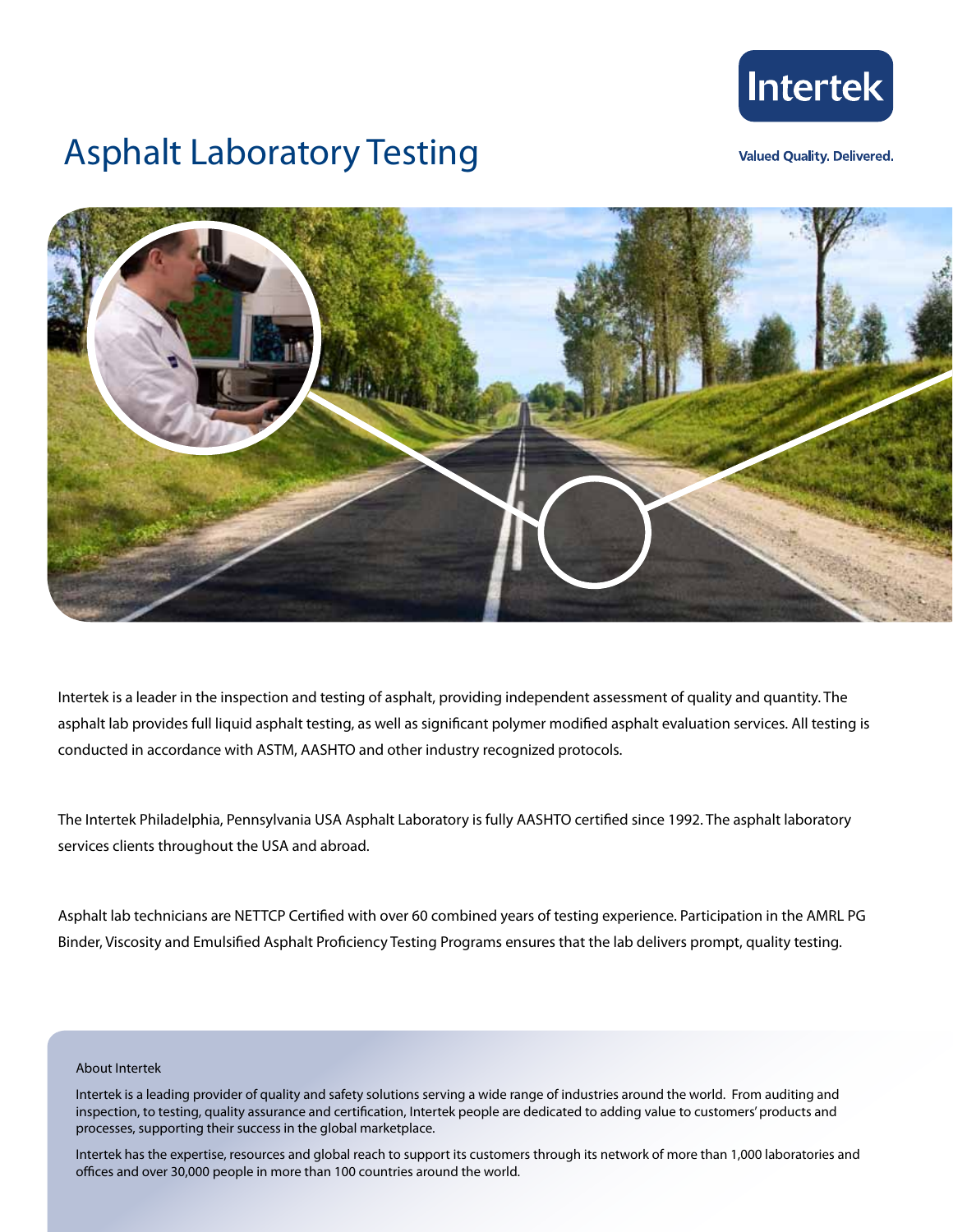

## Asphalt Laboratory Testing

**Valued Quality, Delivered.** 



Intertek is a leader in the inspection and testing of asphalt, providing independent assessment of quality and quantity. The asphalt lab provides full liquid asphalt testing, as well as significant polymer modified asphalt evaluation services. All testing is conducted in accordance with ASTM, AASHTO and other industry recognized protocols.

The Intertek Philadelphia, Pennsylvania USA Asphalt Laboratory is fully AASHTO certified since 1992. The asphalt laboratory services clients throughout the USA and abroad.

Asphalt lab technicians are NETTCP Certified with over 60 combined years of testing experience. Participation in the AMRL PG Binder, Viscosity and Emulsified Asphalt Proficiency Testing Programs ensures that the lab delivers prompt, quality testing.

## About Intertek

Intertek has the expertise, resources and global reach to support its customers through its network of more than 1,000 laboratories and offices and over 30,000 people in more than 100 countries around the world.

Intertek is a leading provider of quality and safety solutions serving a wide range of industries around the world. From auditing and inspection, to testing, quality assurance and certification, Intertek people are dedicated to adding value to customers' products and processes, supporting their success in the global marketplace.